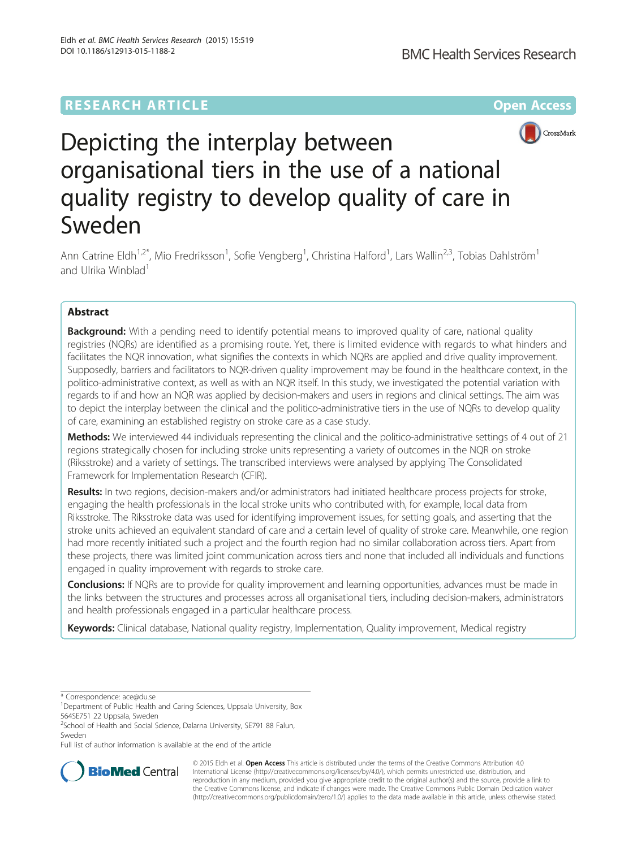## **RESEARCH ARTICLE Example 2014 12:25 The Contract of Contract ACCESS**



# Depicting the interplay between organisational tiers in the use of a national quality registry to develop quality of care in Sweden

Ann Catrine Eldh<sup>1,2\*</sup>, Mio Fredriksson<sup>1</sup>, Sofie Vengberg<sup>1</sup>, Christina Halford<sup>1</sup>, Lars Wallin<sup>2,3</sup>, Tobias Dahlström<sup>1</sup> and Ulrika Winblad<sup>1</sup>

### Abstract

**Background:** With a pending need to identify potential means to improved quality of care, national quality registries (NQRs) are identified as a promising route. Yet, there is limited evidence with regards to what hinders and facilitates the NQR innovation, what signifies the contexts in which NQRs are applied and drive quality improvement. Supposedly, barriers and facilitators to NQR-driven quality improvement may be found in the healthcare context, in the politico-administrative context, as well as with an NQR itself. In this study, we investigated the potential variation with regards to if and how an NQR was applied by decision-makers and users in regions and clinical settings. The aim was to depict the interplay between the clinical and the politico-administrative tiers in the use of NQRs to develop quality of care, examining an established registry on stroke care as a case study.

Methods: We interviewed 44 individuals representing the clinical and the politico-administrative settings of 4 out of 21 regions strategically chosen for including stroke units representing a variety of outcomes in the NQR on stroke (Riksstroke) and a variety of settings. The transcribed interviews were analysed by applying The Consolidated Framework for Implementation Research (CFIR).

Results: In two regions, decision-makers and/or administrators had initiated healthcare process projects for stroke, engaging the health professionals in the local stroke units who contributed with, for example, local data from Riksstroke. The Riksstroke data was used for identifying improvement issues, for setting goals, and asserting that the stroke units achieved an equivalent standard of care and a certain level of quality of stroke care. Meanwhile, one region had more recently initiated such a project and the fourth region had no similar collaboration across tiers. Apart from these projects, there was limited joint communication across tiers and none that included all individuals and functions engaged in quality improvement with regards to stroke care.

**Conclusions:** If NQRs are to provide for quality improvement and learning opportunities, advances must be made in the links between the structures and processes across all organisational tiers, including decision-makers, administrators and health professionals engaged in a particular healthcare process.

Keywords: Clinical database, National quality registry, Implementation, Quality improvement, Medical registry

\* Correspondence: [ace@du.se](mailto:ace@du.se) <sup>1</sup>

Full list of author information is available at the end of the article



© 2015 Eldh et al. Open Access This article is distributed under the terms of the Creative Commons Attribution 4.0 International License [\(http://creativecommons.org/licenses/by/4.0/](http://creativecommons.org/licenses/by/4.0/)), which permits unrestricted use, distribution, and reproduction in any medium, provided you give appropriate credit to the original author(s) and the source, provide a link to the Creative Commons license, and indicate if changes were made. The Creative Commons Public Domain Dedication waiver [\(http://creativecommons.org/publicdomain/zero/1.0/](http://creativecommons.org/publicdomain/zero/1.0/)) applies to the data made available in this article, unless otherwise stated.

<sup>&</sup>lt;sup>1</sup>Department of Public Health and Caring Sciences, Uppsala University, Box 564SE751 22 Uppsala, Sweden

<sup>&</sup>lt;sup>2</sup>School of Health and Social Science, Dalarna University, SE791 88 Falun, Sweden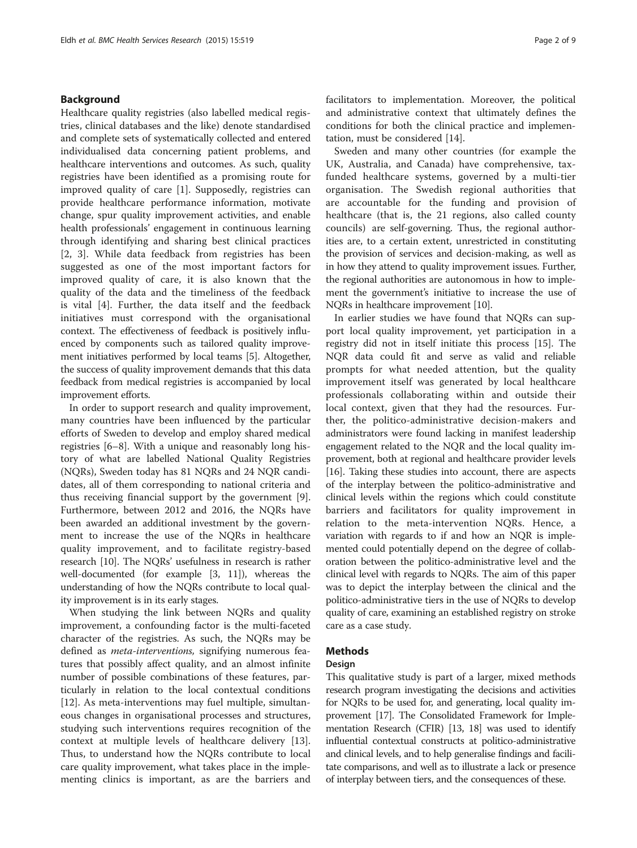#### Background

Healthcare quality registries (also labelled medical registries, clinical databases and the like) denote standardised and complete sets of systematically collected and entered individualised data concerning patient problems, and healthcare interventions and outcomes. As such, quality registries have been identified as a promising route for improved quality of care [\[1](#page-7-0)]. Supposedly, registries can provide healthcare performance information, motivate change, spur quality improvement activities, and enable health professionals' engagement in continuous learning through identifying and sharing best clinical practices [[2, 3](#page-7-0)]. While data feedback from registries has been suggested as one of the most important factors for improved quality of care, it is also known that the quality of the data and the timeliness of the feedback is vital [[4\]](#page-7-0). Further, the data itself and the feedback initiatives must correspond with the organisational context. The effectiveness of feedback is positively influenced by components such as tailored quality improvement initiatives performed by local teams [\[5\]](#page-7-0). Altogether, the success of quality improvement demands that this data feedback from medical registries is accompanied by local improvement efforts.

In order to support research and quality improvement, many countries have been influenced by the particular efforts of Sweden to develop and employ shared medical registries [\[6](#page-7-0)–[8\]](#page-7-0). With a unique and reasonably long history of what are labelled National Quality Registries (NQRs), Sweden today has 81 NQRs and 24 NQR candidates, all of them corresponding to national criteria and thus receiving financial support by the government [\[9](#page-7-0)]. Furthermore, between 2012 and 2016, the NQRs have been awarded an additional investment by the government to increase the use of the NQRs in healthcare quality improvement, and to facilitate registry-based research [[10](#page-8-0)]. The NQRs' usefulness in research is rather well-documented (for example [[3,](#page-7-0) [11\]](#page-8-0)), whereas the understanding of how the NQRs contribute to local quality improvement is in its early stages.

When studying the link between NQRs and quality improvement, a confounding factor is the multi-faceted character of the registries. As such, the NQRs may be defined as meta-interventions, signifying numerous features that possibly affect quality, and an almost infinite number of possible combinations of these features, particularly in relation to the local contextual conditions [[12\]](#page-8-0). As meta-interventions may fuel multiple, simultaneous changes in organisational processes and structures, studying such interventions requires recognition of the context at multiple levels of healthcare delivery [\[13](#page-8-0)]. Thus, to understand how the NQRs contribute to local care quality improvement, what takes place in the implementing clinics is important, as are the barriers and facilitators to implementation. Moreover, the political and administrative context that ultimately defines the conditions for both the clinical practice and implementation, must be considered [[14\]](#page-8-0).

Sweden and many other countries (for example the UK, Australia, and Canada) have comprehensive, taxfunded healthcare systems, governed by a multi-tier organisation. The Swedish regional authorities that are accountable for the funding and provision of healthcare (that is, the 21 regions, also called county councils) are self-governing. Thus, the regional authorities are, to a certain extent, unrestricted in constituting the provision of services and decision-making, as well as in how they attend to quality improvement issues. Further, the regional authorities are autonomous in how to implement the government's initiative to increase the use of NQRs in healthcare improvement [[10](#page-8-0)].

In earlier studies we have found that NQRs can support local quality improvement, yet participation in a registry did not in itself initiate this process [[15\]](#page-8-0). The NQR data could fit and serve as valid and reliable prompts for what needed attention, but the quality improvement itself was generated by local healthcare professionals collaborating within and outside their local context, given that they had the resources. Further, the politico-administrative decision-makers and administrators were found lacking in manifest leadership engagement related to the NQR and the local quality improvement, both at regional and healthcare provider levels [[16](#page-8-0)]. Taking these studies into account, there are aspects of the interplay between the politico-administrative and clinical levels within the regions which could constitute barriers and facilitators for quality improvement in relation to the meta-intervention NQRs. Hence, a variation with regards to if and how an NQR is implemented could potentially depend on the degree of collaboration between the politico-administrative level and the clinical level with regards to NQRs. The aim of this paper was to depict the interplay between the clinical and the politico-administrative tiers in the use of NQRs to develop quality of care, examining an established registry on stroke care as a case study.

#### Methods

#### Design

This qualitative study is part of a larger, mixed methods research program investigating the decisions and activities for NQRs to be used for, and generating, local quality improvement [\[17\]](#page-8-0). The Consolidated Framework for Implementation Research (CFIR) [[13, 18\]](#page-8-0) was used to identify influential contextual constructs at politico-administrative and clinical levels, and to help generalise findings and facilitate comparisons, and well as to illustrate a lack or presence of interplay between tiers, and the consequences of these.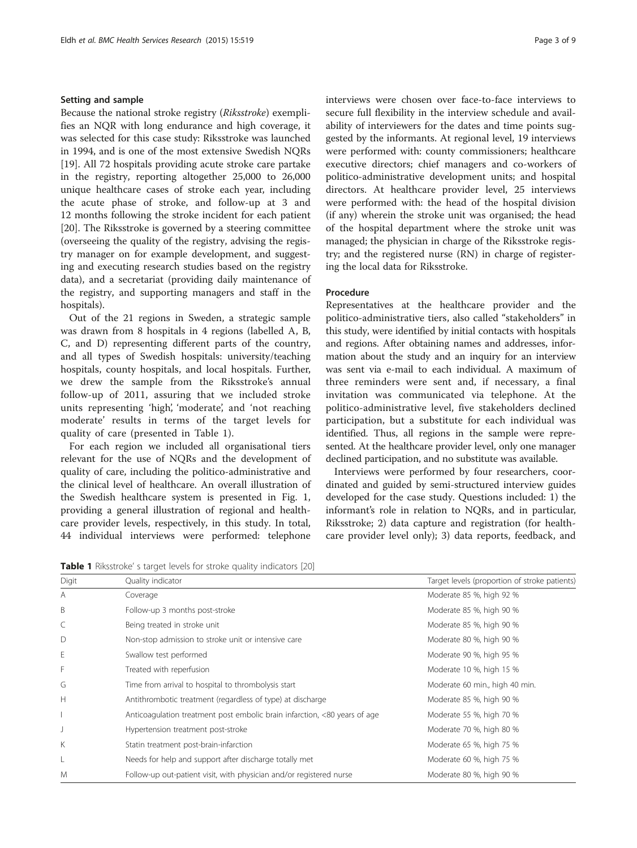#### Setting and sample

Because the national stroke registry (Riksstroke) exemplifies an NQR with long endurance and high coverage, it was selected for this case study: Riksstroke was launched in 1994, and is one of the most extensive Swedish NQRs [[19\]](#page-8-0). All 72 hospitals providing acute stroke care partake in the registry, reporting altogether 25,000 to 26,000 unique healthcare cases of stroke each year, including the acute phase of stroke, and follow-up at 3 and 12 months following the stroke incident for each patient [[20\]](#page-8-0). The Riksstroke is governed by a steering committee (overseeing the quality of the registry, advising the registry manager on for example development, and suggesting and executing research studies based on the registry data), and a secretariat (providing daily maintenance of the registry, and supporting managers and staff in the hospitals).

Out of the 21 regions in Sweden, a strategic sample was drawn from 8 hospitals in 4 regions (labelled A, B, C, and D) representing different parts of the country, and all types of Swedish hospitals: university/teaching hospitals, county hospitals, and local hospitals. Further, we drew the sample from the Riksstroke's annual follow-up of 2011, assuring that we included stroke units representing 'high', 'moderate', and 'not reaching moderate' results in terms of the target levels for quality of care (presented in Table 1).

For each region we included all organisational tiers relevant for the use of NQRs and the development of quality of care, including the politico-administrative and the clinical level of healthcare. An overall illustration of the Swedish healthcare system is presented in Fig. [1](#page-3-0), providing a general illustration of regional and healthcare provider levels, respectively, in this study. In total, 44 individual interviews were performed: telephone

interviews were chosen over face-to-face interviews to secure full flexibility in the interview schedule and availability of interviewers for the dates and time points suggested by the informants. At regional level, 19 interviews were performed with: county commissioners; healthcare executive directors; chief managers and co-workers of politico-administrative development units; and hospital directors. At healthcare provider level, 25 interviews were performed with: the head of the hospital division (if any) wherein the stroke unit was organised; the head of the hospital department where the stroke unit was managed; the physician in charge of the Riksstroke registry; and the registered nurse (RN) in charge of registering the local data for Riksstroke.

#### Procedure

Representatives at the healthcare provider and the politico-administrative tiers, also called "stakeholders" in this study, were identified by initial contacts with hospitals and regions. After obtaining names and addresses, information about the study and an inquiry for an interview was sent via e-mail to each individual. A maximum of three reminders were sent and, if necessary, a final invitation was communicated via telephone. At the politico-administrative level, five stakeholders declined participation, but a substitute for each individual was identified. Thus, all regions in the sample were represented. At the healthcare provider level, only one manager declined participation, and no substitute was available.

Interviews were performed by four researchers, coordinated and guided by semi-structured interview guides developed for the case study. Questions included: 1) the informant's role in relation to NQRs, and in particular, Riksstroke; 2) data capture and registration (for healthcare provider level only); 3) data reports, feedback, and

**Table 1** Riksstroke' s target levels for stroke quality indicators [\[20](#page-8-0)]

| Digit | Quality indicator                                                         | Target levels (proportion of stroke patients) |
|-------|---------------------------------------------------------------------------|-----------------------------------------------|
| A     | Coverage                                                                  | Moderate 85 %, high 92 %                      |
| B     | Follow-up 3 months post-stroke                                            | Moderate 85 %, high 90 %                      |
|       | Being treated in stroke unit                                              | Moderate 85 %, high 90 %                      |
| D     | Non-stop admission to stroke unit or intensive care                       | Moderate 80 %, high 90 %                      |
| Ε     | Swallow test performed                                                    | Moderate 90 %, high 95 %                      |
| F     | Treated with reperfusion                                                  | Moderate 10 %, high 15 %                      |
| G     | Time from arrival to hospital to thrombolysis start                       | Moderate 60 min., high 40 min.                |
| H     | Antithrombotic treatment (regardless of type) at discharge                | Moderate 85 %, high 90 %                      |
|       | Anticoagulation treatment post embolic brain infarction, <80 years of age | Moderate 55 %, high 70 %                      |
| J     | Hypertension treatment post-stroke                                        | Moderate 70 %, high 80 %                      |
| К     | Statin treatment post-brain-infarction                                    | Moderate 65 %, high 75 %                      |
| L     | Needs for help and support after discharge totally met                    | Moderate 60 %, high 75 %                      |
| M     | Follow-up out-patient visit, with physician and/or registered nurse       | Moderate 80 %, high 90 %                      |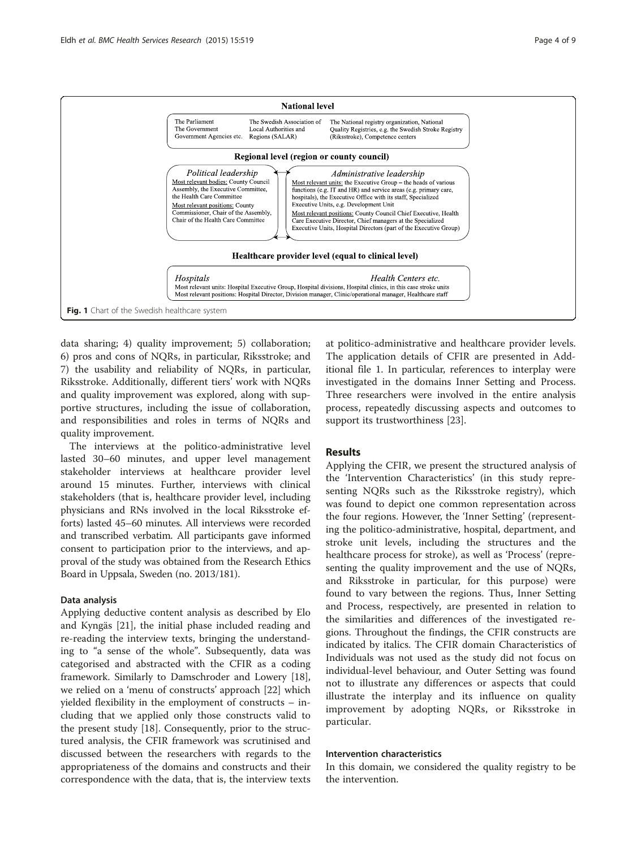<span id="page-3-0"></span>

data sharing; 4) quality improvement; 5) collaboration; 6) pros and cons of NQRs, in particular, Riksstroke; and 7) the usability and reliability of NQRs, in particular, Riksstroke. Additionally, different tiers' work with NQRs and quality improvement was explored, along with supportive structures, including the issue of collaboration, and responsibilities and roles in terms of NQRs and quality improvement.

The interviews at the politico-administrative level lasted 30–60 minutes, and upper level management stakeholder interviews at healthcare provider level around 15 minutes. Further, interviews with clinical stakeholders (that is, healthcare provider level, including physicians and RNs involved in the local Riksstroke efforts) lasted 45–60 minutes. All interviews were recorded and transcribed verbatim. All participants gave informed consent to participation prior to the interviews, and approval of the study was obtained from the Research Ethics Board in Uppsala, Sweden (no. 2013/181).

#### Data analysis

Applying deductive content analysis as described by Elo and Kyngäs [\[21\]](#page-8-0), the initial phase included reading and re-reading the interview texts, bringing the understanding to "a sense of the whole". Subsequently, data was categorised and abstracted with the CFIR as a coding framework. Similarly to Damschroder and Lowery [\[18](#page-8-0)], we relied on a 'menu of constructs' approach [[22\]](#page-8-0) which yielded flexibility in the employment of constructs – including that we applied only those constructs valid to the present study [\[18\]](#page-8-0). Consequently, prior to the structured analysis, the CFIR framework was scrutinised and discussed between the researchers with regards to the appropriateness of the domains and constructs and their correspondence with the data, that is, the interview texts at politico-administrative and healthcare provider levels. The application details of CFIR are presented in Additional file [1](#page-7-0). In particular, references to interplay were investigated in the domains Inner Setting and Process. Three researchers were involved in the entire analysis process, repeatedly discussing aspects and outcomes to support its trustworthiness [\[23\]](#page-8-0).

#### Results

Applying the CFIR, we present the structured analysis of the 'Intervention Characteristics' (in this study representing NQRs such as the Riksstroke registry), which was found to depict one common representation across the four regions. However, the 'Inner Setting' (representing the politico-administrative, hospital, department, and stroke unit levels, including the structures and the healthcare process for stroke), as well as 'Process' (representing the quality improvement and the use of NQRs, and Riksstroke in particular, for this purpose) were found to vary between the regions. Thus, Inner Setting and Process, respectively, are presented in relation to the similarities and differences of the investigated regions. Throughout the findings, the CFIR constructs are indicated by italics. The CFIR domain Characteristics of Individuals was not used as the study did not focus on individual-level behaviour, and Outer Setting was found not to illustrate any differences or aspects that could illustrate the interplay and its influence on quality improvement by adopting NQRs, or Riksstroke in particular.

#### Intervention characteristics

In this domain, we considered the quality registry to be the intervention.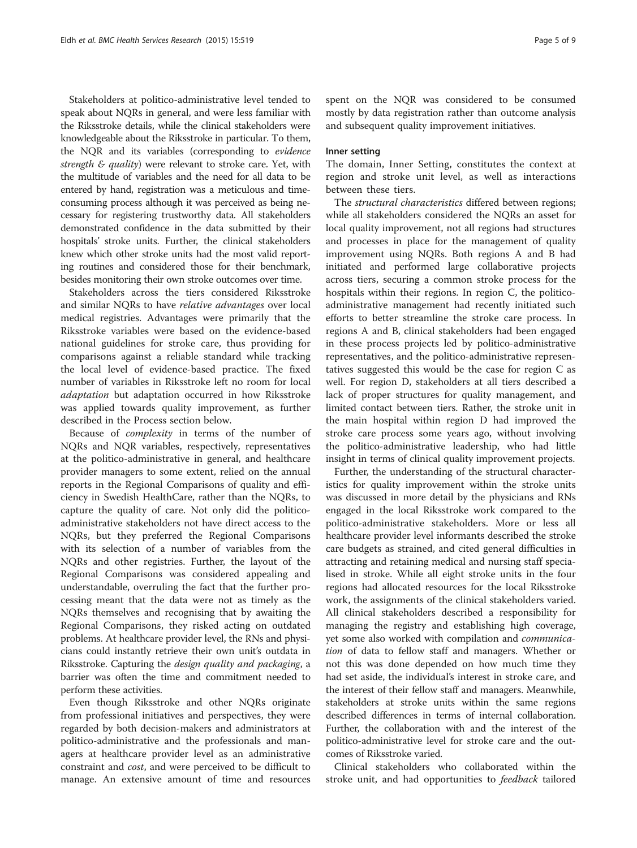Stakeholders at politico-administrative level tended to speak about NQRs in general, and were less familiar with the Riksstroke details, while the clinical stakeholders were knowledgeable about the Riksstroke in particular. To them, the NQR and its variables (corresponding to evidence strength  $\epsilon$  quality) were relevant to stroke care. Yet, with the multitude of variables and the need for all data to be entered by hand, registration was a meticulous and timeconsuming process although it was perceived as being necessary for registering trustworthy data. All stakeholders demonstrated confidence in the data submitted by their hospitals' stroke units. Further, the clinical stakeholders knew which other stroke units had the most valid reporting routines and considered those for their benchmark, besides monitoring their own stroke outcomes over time.

Stakeholders across the tiers considered Riksstroke and similar NQRs to have relative advantages over local medical registries. Advantages were primarily that the Riksstroke variables were based on the evidence-based national guidelines for stroke care, thus providing for comparisons against a reliable standard while tracking the local level of evidence-based practice. The fixed number of variables in Riksstroke left no room for local adaptation but adaptation occurred in how Riksstroke was applied towards quality improvement, as further described in the Process section below.

Because of complexity in terms of the number of NQRs and NQR variables, respectively, representatives at the politico-administrative in general, and healthcare provider managers to some extent, relied on the annual reports in the Regional Comparisons of quality and efficiency in Swedish HealthCare, rather than the NQRs, to capture the quality of care. Not only did the politicoadministrative stakeholders not have direct access to the NQRs, but they preferred the Regional Comparisons with its selection of a number of variables from the NQRs and other registries. Further, the layout of the Regional Comparisons was considered appealing and understandable, overruling the fact that the further processing meant that the data were not as timely as the NQRs themselves and recognising that by awaiting the Regional Comparisons, they risked acting on outdated problems. At healthcare provider level, the RNs and physicians could instantly retrieve their own unit's outdata in Riksstroke. Capturing the design quality and packaging, a barrier was often the time and commitment needed to perform these activities.

Even though Riksstroke and other NQRs originate from professional initiatives and perspectives, they were regarded by both decision-makers and administrators at politico-administrative and the professionals and managers at healthcare provider level as an administrative constraint and cost, and were perceived to be difficult to manage. An extensive amount of time and resources

spent on the NQR was considered to be consumed mostly by data registration rather than outcome analysis and subsequent quality improvement initiatives.

#### Inner setting

The domain, Inner Setting, constitutes the context at region and stroke unit level, as well as interactions between these tiers.

The structural characteristics differed between regions; while all stakeholders considered the NQRs an asset for local quality improvement, not all regions had structures and processes in place for the management of quality improvement using NQRs. Both regions A and B had initiated and performed large collaborative projects across tiers, securing a common stroke process for the hospitals within their regions. In region C, the politicoadministrative management had recently initiated such efforts to better streamline the stroke care process. In regions A and B, clinical stakeholders had been engaged in these process projects led by politico-administrative representatives, and the politico-administrative representatives suggested this would be the case for region C as well. For region D, stakeholders at all tiers described a lack of proper structures for quality management, and limited contact between tiers. Rather, the stroke unit in the main hospital within region D had improved the stroke care process some years ago, without involving the politico-administrative leadership, who had little insight in terms of clinical quality improvement projects.

Further, the understanding of the structural characteristics for quality improvement within the stroke units was discussed in more detail by the physicians and RNs engaged in the local Riksstroke work compared to the politico-administrative stakeholders. More or less all healthcare provider level informants described the stroke care budgets as strained, and cited general difficulties in attracting and retaining medical and nursing staff specialised in stroke. While all eight stroke units in the four regions had allocated resources for the local Riksstroke work, the assignments of the clinical stakeholders varied. All clinical stakeholders described a responsibility for managing the registry and establishing high coverage, yet some also worked with compilation and communication of data to fellow staff and managers. Whether or not this was done depended on how much time they had set aside, the individual's interest in stroke care, and the interest of their fellow staff and managers. Meanwhile, stakeholders at stroke units within the same regions described differences in terms of internal collaboration. Further, the collaboration with and the interest of the politico-administrative level for stroke care and the outcomes of Riksstroke varied.

Clinical stakeholders who collaborated within the stroke unit, and had opportunities to feedback tailored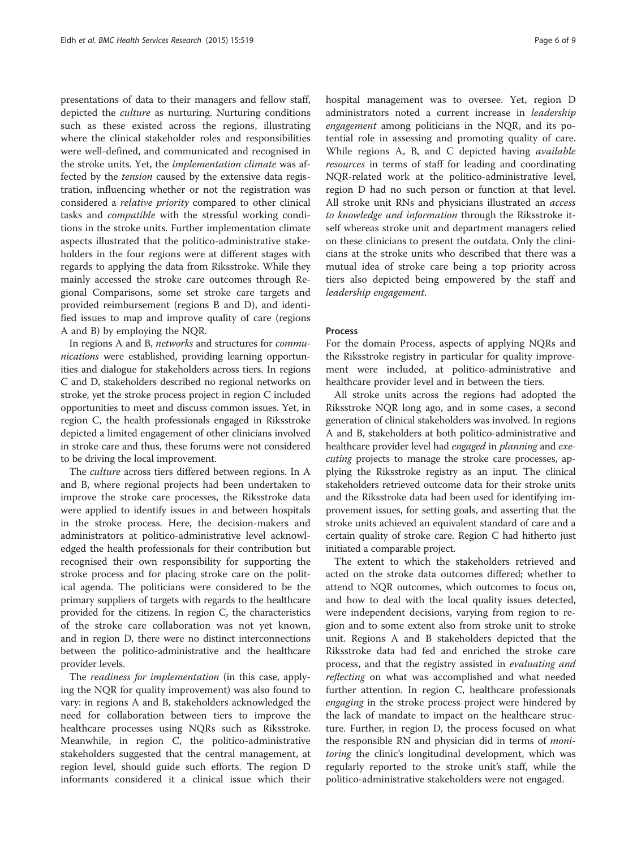presentations of data to their managers and fellow staff, depicted the culture as nurturing. Nurturing conditions such as these existed across the regions, illustrating where the clinical stakeholder roles and responsibilities were well-defined, and communicated and recognised in the stroke units. Yet, the implementation climate was affected by the tension caused by the extensive data registration, influencing whether or not the registration was considered a relative priority compared to other clinical tasks and compatible with the stressful working conditions in the stroke units. Further implementation climate aspects illustrated that the politico-administrative stakeholders in the four regions were at different stages with regards to applying the data from Riksstroke. While they mainly accessed the stroke care outcomes through Regional Comparisons, some set stroke care targets and provided reimbursement (regions B and D), and identified issues to map and improve quality of care (regions A and B) by employing the NQR.

In regions A and B, networks and structures for communications were established, providing learning opportunities and dialogue for stakeholders across tiers. In regions C and D, stakeholders described no regional networks on stroke, yet the stroke process project in region C included opportunities to meet and discuss common issues. Yet, in region C, the health professionals engaged in Riksstroke depicted a limited engagement of other clinicians involved in stroke care and thus, these forums were not considered to be driving the local improvement.

The culture across tiers differed between regions. In A and B, where regional projects had been undertaken to improve the stroke care processes, the Riksstroke data were applied to identify issues in and between hospitals in the stroke process. Here, the decision-makers and administrators at politico-administrative level acknowledged the health professionals for their contribution but recognised their own responsibility for supporting the stroke process and for placing stroke care on the political agenda. The politicians were considered to be the primary suppliers of targets with regards to the healthcare provided for the citizens. In region C, the characteristics of the stroke care collaboration was not yet known, and in region D, there were no distinct interconnections between the politico-administrative and the healthcare provider levels.

The readiness for implementation (in this case, applying the NQR for quality improvement) was also found to vary: in regions A and B, stakeholders acknowledged the need for collaboration between tiers to improve the healthcare processes using NQRs such as Riksstroke. Meanwhile, in region C, the politico-administrative stakeholders suggested that the central management, at region level, should guide such efforts. The region D informants considered it a clinical issue which their hospital management was to oversee. Yet, region D administrators noted a current increase in leadership engagement among politicians in the NQR, and its potential role in assessing and promoting quality of care. While regions A, B, and C depicted having available resources in terms of staff for leading and coordinating NQR-related work at the politico-administrative level, region D had no such person or function at that level. All stroke unit RNs and physicians illustrated an *access* to knowledge and information through the Riksstroke itself whereas stroke unit and department managers relied on these clinicians to present the outdata. Only the clinicians at the stroke units who described that there was a mutual idea of stroke care being a top priority across tiers also depicted being empowered by the staff and leadership engagement.

#### Process

For the domain Process, aspects of applying NQRs and the Riksstroke registry in particular for quality improvement were included, at politico-administrative and healthcare provider level and in between the tiers.

All stroke units across the regions had adopted the Riksstroke NQR long ago, and in some cases, a second generation of clinical stakeholders was involved. In regions A and B, stakeholders at both politico-administrative and healthcare provider level had engaged in planning and executing projects to manage the stroke care processes, applying the Riksstroke registry as an input. The clinical stakeholders retrieved outcome data for their stroke units and the Riksstroke data had been used for identifying improvement issues, for setting goals, and asserting that the stroke units achieved an equivalent standard of care and a certain quality of stroke care. Region C had hitherto just initiated a comparable project.

The extent to which the stakeholders retrieved and acted on the stroke data outcomes differed; whether to attend to NQR outcomes, which outcomes to focus on, and how to deal with the local quality issues detected, were independent decisions, varying from region to region and to some extent also from stroke unit to stroke unit. Regions A and B stakeholders depicted that the Riksstroke data had fed and enriched the stroke care process, and that the registry assisted in evaluating and reflecting on what was accomplished and what needed further attention. In region C, healthcare professionals engaging in the stroke process project were hindered by the lack of mandate to impact on the healthcare structure. Further, in region D, the process focused on what the responsible RN and physician did in terms of *moni*toring the clinic's longitudinal development, which was regularly reported to the stroke unit's staff, while the politico-administrative stakeholders were not engaged.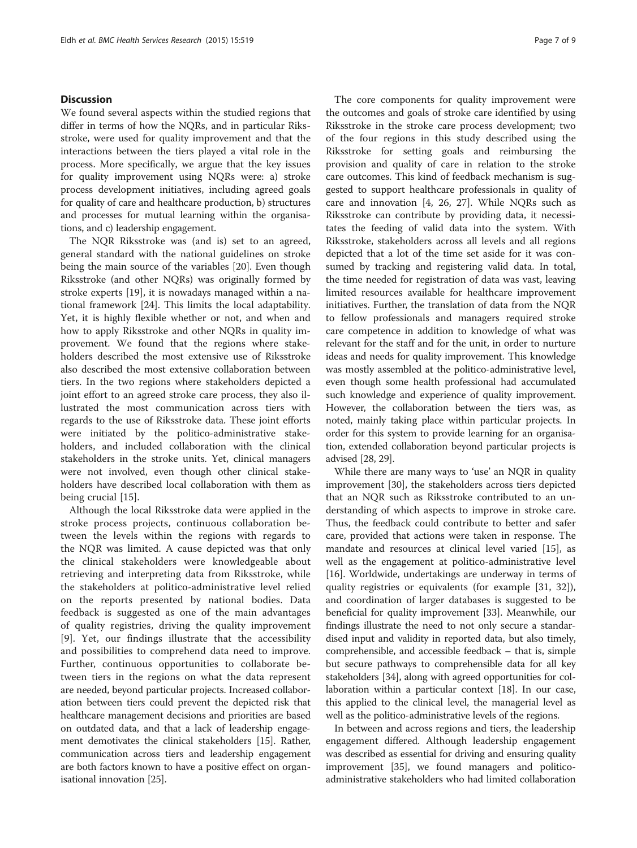#### **Discussion**

We found several aspects within the studied regions that differ in terms of how the NQRs, and in particular Riksstroke, were used for quality improvement and that the interactions between the tiers played a vital role in the process. More specifically, we argue that the key issues for quality improvement using NQRs were: a) stroke process development initiatives, including agreed goals for quality of care and healthcare production, b) structures and processes for mutual learning within the organisations, and c) leadership engagement.

The NQR Riksstroke was (and is) set to an agreed, general standard with the national guidelines on stroke being the main source of the variables [[20](#page-8-0)]. Even though Riksstroke (and other NQRs) was originally formed by stroke experts [[19\]](#page-8-0), it is nowadays managed within a national framework [[24](#page-8-0)]. This limits the local adaptability. Yet, it is highly flexible whether or not, and when and how to apply Riksstroke and other NQRs in quality improvement. We found that the regions where stakeholders described the most extensive use of Riksstroke also described the most extensive collaboration between tiers. In the two regions where stakeholders depicted a joint effort to an agreed stroke care process, they also illustrated the most communication across tiers with regards to the use of Riksstroke data. These joint efforts were initiated by the politico-administrative stakeholders, and included collaboration with the clinical stakeholders in the stroke units. Yet, clinical managers were not involved, even though other clinical stakeholders have described local collaboration with them as being crucial [\[15](#page-8-0)].

Although the local Riksstroke data were applied in the stroke process projects, continuous collaboration between the levels within the regions with regards to the NQR was limited. A cause depicted was that only the clinical stakeholders were knowledgeable about retrieving and interpreting data from Riksstroke, while the stakeholders at politico-administrative level relied on the reports presented by national bodies. Data feedback is suggested as one of the main advantages of quality registries, driving the quality improvement [[9\]](#page-7-0). Yet, our findings illustrate that the accessibility and possibilities to comprehend data need to improve. Further, continuous opportunities to collaborate between tiers in the regions on what the data represent are needed, beyond particular projects. Increased collaboration between tiers could prevent the depicted risk that healthcare management decisions and priorities are based on outdated data, and that a lack of leadership engagement demotivates the clinical stakeholders [\[15\]](#page-8-0). Rather, communication across tiers and leadership engagement are both factors known to have a positive effect on organisational innovation [\[25\]](#page-8-0).

The core components for quality improvement were the outcomes and goals of stroke care identified by using Riksstroke in the stroke care process development; two of the four regions in this study described using the Riksstroke for setting goals and reimbursing the provision and quality of care in relation to the stroke care outcomes. This kind of feedback mechanism is suggested to support healthcare professionals in quality of care and innovation [\[4](#page-7-0), [26, 27\]](#page-8-0). While NQRs such as Riksstroke can contribute by providing data, it necessitates the feeding of valid data into the system. With Riksstroke, stakeholders across all levels and all regions depicted that a lot of the time set aside for it was consumed by tracking and registering valid data. In total, the time needed for registration of data was vast, leaving limited resources available for healthcare improvement initiatives. Further, the translation of data from the NQR to fellow professionals and managers required stroke care competence in addition to knowledge of what was relevant for the staff and for the unit, in order to nurture ideas and needs for quality improvement. This knowledge was mostly assembled at the politico-administrative level, even though some health professional had accumulated such knowledge and experience of quality improvement. However, the collaboration between the tiers was, as noted, mainly taking place within particular projects. In order for this system to provide learning for an organisation, extended collaboration beyond particular projects is advised [[28, 29\]](#page-8-0).

While there are many ways to 'use' an NQR in quality improvement [[30\]](#page-8-0), the stakeholders across tiers depicted that an NQR such as Riksstroke contributed to an understanding of which aspects to improve in stroke care. Thus, the feedback could contribute to better and safer care, provided that actions were taken in response. The mandate and resources at clinical level varied [\[15](#page-8-0)], as well as the engagement at politico-administrative level [[16\]](#page-8-0). Worldwide, undertakings are underway in terms of quality registries or equivalents (for example [[31](#page-8-0), [32](#page-8-0)]), and coordination of larger databases is suggested to be beneficial for quality improvement [[33\]](#page-8-0). Meanwhile, our findings illustrate the need to not only secure a standardised input and validity in reported data, but also timely, comprehensible, and accessible feedback – that is, simple but secure pathways to comprehensible data for all key stakeholders [\[34](#page-8-0)], along with agreed opportunities for collaboration within a particular context [\[18\]](#page-8-0). In our case, this applied to the clinical level, the managerial level as well as the politico-administrative levels of the regions.

In between and across regions and tiers, the leadership engagement differed. Although leadership engagement was described as essential for driving and ensuring quality improvement [\[35](#page-8-0)], we found managers and politicoadministrative stakeholders who had limited collaboration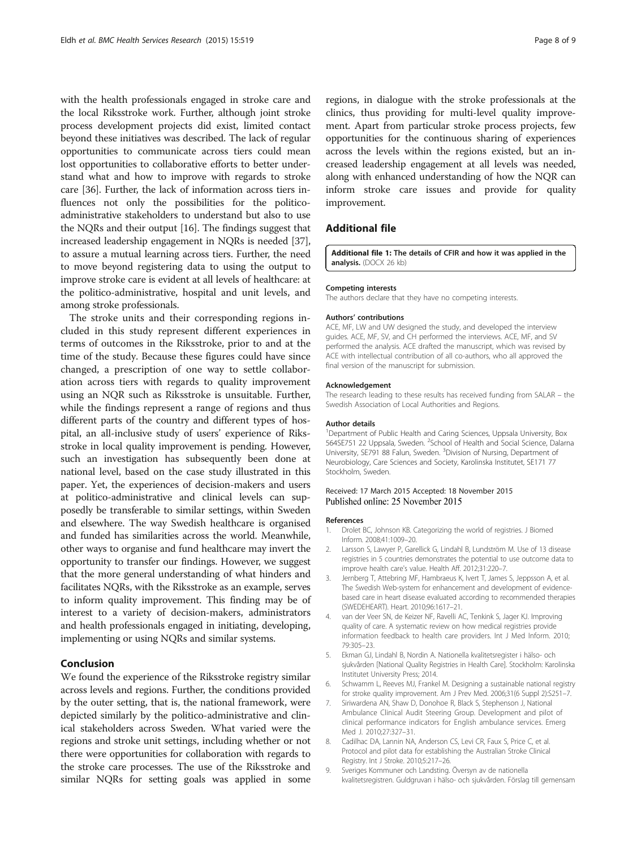<span id="page-7-0"></span>with the health professionals engaged in stroke care and the local Riksstroke work. Further, although joint stroke process development projects did exist, limited contact beyond these initiatives was described. The lack of regular opportunities to communicate across tiers could mean lost opportunities to collaborative efforts to better understand what and how to improve with regards to stroke care [[36](#page-8-0)]. Further, the lack of information across tiers influences not only the possibilities for the politicoadministrative stakeholders to understand but also to use the NQRs and their output [[16](#page-8-0)]. The findings suggest that increased leadership engagement in NQRs is needed [[37](#page-8-0)], to assure a mutual learning across tiers. Further, the need to move beyond registering data to using the output to improve stroke care is evident at all levels of healthcare: at the politico-administrative, hospital and unit levels, and among stroke professionals.

The stroke units and their corresponding regions included in this study represent different experiences in terms of outcomes in the Riksstroke, prior to and at the time of the study. Because these figures could have since changed, a prescription of one way to settle collaboration across tiers with regards to quality improvement using an NQR such as Riksstroke is unsuitable. Further, while the findings represent a range of regions and thus different parts of the country and different types of hospital, an all-inclusive study of users' experience of Riksstroke in local quality improvement is pending. However, such an investigation has subsequently been done at national level, based on the case study illustrated in this paper. Yet, the experiences of decision-makers and users at politico-administrative and clinical levels can supposedly be transferable to similar settings, within Sweden and elsewhere. The way Swedish healthcare is organised and funded has similarities across the world. Meanwhile, other ways to organise and fund healthcare may invert the opportunity to transfer our findings. However, we suggest that the more general understanding of what hinders and facilitates NQRs, with the Riksstroke as an example, serves to inform quality improvement. This finding may be of interest to a variety of decision-makers, administrators and health professionals engaged in initiating, developing, implementing or using NQRs and similar systems.

#### Conclusion

We found the experience of the Riksstroke registry similar across levels and regions. Further, the conditions provided by the outer setting, that is, the national framework, were depicted similarly by the politico-administrative and clinical stakeholders across Sweden. What varied were the regions and stroke unit settings, including whether or not there were opportunities for collaboration with regards to the stroke care processes. The use of the Riksstroke and similar NQRs for setting goals was applied in some regions, in dialogue with the stroke professionals at the clinics, thus providing for multi-level quality improvement. Apart from particular stroke process projects, few opportunities for the continuous sharing of experiences across the levels within the regions existed, but an increased leadership engagement at all levels was needed, along with enhanced understanding of how the NQR can inform stroke care issues and provide for quality improvement.

#### Additional file

[Additional file 1:](dx.doi.org/10.1186/s12913-015-1188-2) The details of CFIR and how it was applied in the analysis. (DOCX 26 kb)

#### Competing interests

The authors declare that they have no competing interests.

#### Authors' contributions

ACE, MF, LW and UW designed the study, and developed the interview guides. ACE, MF, SV, and CH performed the interviews. ACE, MF, and SV performed the analysis. ACE drafted the manuscript, which was revised by ACE with intellectual contribution of all co-authors, who all approved the final version of the manuscript for submission.

#### Acknowledgement

The research leading to these results has received funding from SALAR – the Swedish Association of Local Authorities and Regions.

#### Author details

<sup>1</sup>Department of Public Health and Caring Sciences, Uppsala University, Box 564SE751 22 Uppsala, Sweden. <sup>2</sup>School of Health and Social Science, Dalarna University, SE791 88 Falun, Sweden. <sup>3</sup> Division of Nursing, Department of Neurobiology, Care Sciences and Society, Karolinska Institutet, SE171 77 Stockholm, Sweden.

#### Received: 17 March 2015 Accepted: 18 November 2015 Published online: 25 November 2015

#### References

- 1. Drolet BC, Johnson KB. Categorizing the world of registries. J Biomed Inform. 2008;41:1009–20.
- 2. Larsson S, Lawyer P, Garellick G, Lindahl B, Lundström M. Use of 13 disease registries in 5 countries demonstrates the potential to use outcome data to improve health care's value. Health Aff. 2012;31:220–7.
- 3. Jernberg T, Attebring MF, Hambraeus K, Ivert T, James S, Jeppsson A, et al. The Swedish Web-system for enhancement and development of evidencebased care in heart disease evaluated according to recommended therapies (SWEDEHEART). Heart. 2010;96:1617–21.
- 4. van der Veer SN, de Keizer NF, Ravelli AC, Tenkink S, Jager KJ. Improving quality of care. A systematic review on how medical registries provide information feedback to health care providers. Int J Med Inform. 2010; 79:305–23.
- 5. Ekman GJ, Lindahl B, Nordin A. Nationella kvalitetsregister i hälso- och sjukvården [National Quality Registries in Health Care]. Stockholm: Karolinska Institutet University Press; 2014.
- 6. Schwamm L, Reeves MJ, Frankel M. Designing a sustainable national registry for stroke quality improvement. Am J Prev Med. 2006;31(6 Suppl 2):S251–7.
- 7. Siriwardena AN, Shaw D, Donohoe R, Black S, Stephenson J, National Ambulance Clinical Audit Steering Group. Development and pilot of clinical performance indicators for English ambulance services. Emerg Med J. 2010;27:327–31.
- 8. Cadilhac DA, Lannin NA, Anderson CS, Levi CR, Faux S, Price C, et al. Protocol and pilot data for establishing the Australian Stroke Clinical Registry. Int J Stroke. 2010;5:217–26.
- 9. Sveriges Kommuner och Landsting. Översyn av de nationella kvalitetsregistren. Guldgruvan i hälso- och sjukvården. Förslag till gemensam